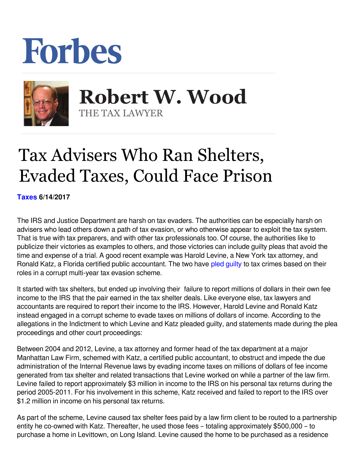## Forbes



 **Robert W. Wood** THE TAX LAWYER

## Tax Advisers Who Ran Shelters, Evaded Taxes, Could Face Prison

**[Taxes](https://www.forbes.com/taxes) 6/14/2017** 

The IRS and Justice Department are harsh on tax evaders. The authorities can be especially harsh on advisers who lead others down a path of tax evasion, or who otherwise appear to exploit the tax system. That is true with tax preparers, and with other tax professionals too. Of course, the authorities like to publicize their victories as examples to others, and those victories can include guilty pleas that avoid the time and expense of a trial. A good recent example was Harold Levine, a New York tax attorney, and Ronald Katz, a Florida certified public accountant. The two have pled quilty to tax crimes based on their roles in a corrupt multi-year tax evasion scheme.

It started with tax shelters, but ended up involving their failure to report millions of dollars in their own fee income to the IRS that the pair earned in the tax shelter deals. Like everyone else, tax lawyers and accountants are required to report their income to the IRS. However, Harold Levine and Ronald Katz instead engaged in a corrupt scheme to evade taxes on millions of dollars of income. According to the allegations in the Indictment to which Levine and Katz pleaded guilty, and statements made during the plea proceedings and other court proceedings:

Between 2004 and 2012, Levine, a tax attorney and former head of the tax department at a major Manhattan Law Firm, schemed with Katz, a certified public accountant, to obstruct and impede the due administration of the Internal Revenue laws by evading income taxes on millions of dollars of fee income generated from tax shelter and related transactions that Levine worked on while a partner of the law firm. Levine failed to report approximately \$3 million in income to the IRS on his personal tax returns during the period 2005-2011. For his involvement in this scheme, Katz received and failed to report to the IRS over \$1.2 million in income on his personal tax returns.

As part of the scheme, Levine caused tax shelter fees paid by a law firm client to be routed to a partnership entity he co-owned with Katz. Thereafter, he used those fees – totaling approximately \$500,000 – to purchase a home in Levittown, on Long Island. Levine caused the home to be purchased as a residence